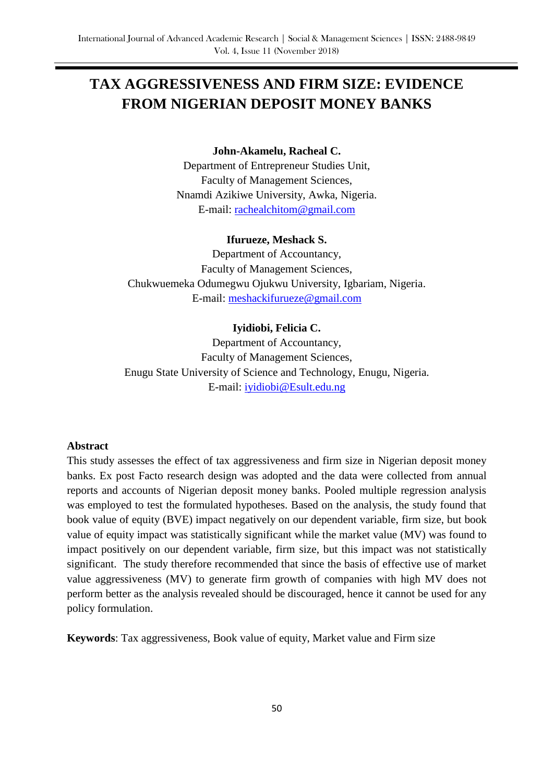# **TAX AGGRESSIVENESS AND FIRM SIZE: EVIDENCE FROM NIGERIAN DEPOSIT MONEY BANKS**

## **John-Akamelu, Racheal C.**

Department of Entrepreneur Studies Unit, Faculty of Management Sciences, Nnamdi Azikiwe University, Awka, Nigeria. E-mail: [rachealchitom@gmail.com](mailto:rachealchitom@gmail.com)

## **Ifurueze, Meshack S.**

Department of Accountancy, Faculty of Management Sciences, Chukwuemeka Odumegwu Ojukwu University, Igbariam, Nigeria. E-mail: [meshackifurueze@gmail.com](mailto:meshackifurueze@gmail.com)

## **Iyidiobi, Felicia C.**

Department of Accountancy, Faculty of Management Sciences, Enugu State University of Science and Technology, Enugu, Nigeria. E-mail: [iyidiobi@Esult.edu.ng](mailto:iyidiobi@Esult.edu.ng)

## **Abstract**

This study assesses the effect of tax aggressiveness and firm size in Nigerian deposit money banks. Ex post Facto research design was adopted and the data were collected from annual reports and accounts of Nigerian deposit money banks. Pooled multiple regression analysis was employed to test the formulated hypotheses. Based on the analysis, the study found that book value of equity (BVE) impact negatively on our dependent variable, firm size, but book value of equity impact was statistically significant while the market value (MV) was found to impact positively on our dependent variable, firm size, but this impact was not statistically significant. The study therefore recommended that since the basis of effective use of market value aggressiveness (MV) to generate firm growth of companies with high MV does not perform better as the analysis revealed should be discouraged, hence it cannot be used for any policy formulation.

**Keywords**: Tax aggressiveness, Book value of equity, Market value and Firm size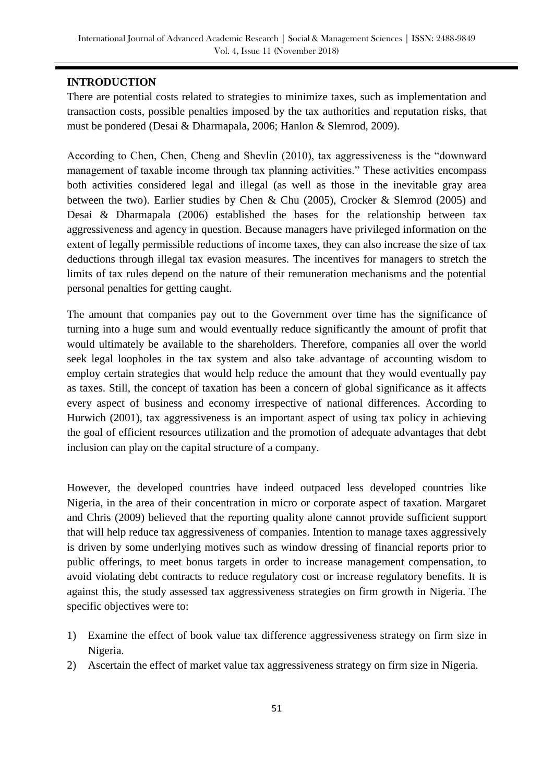## **INTRODUCTION**

There are potential costs related to strategies to minimize taxes, such as implementation and transaction costs, possible penalties imposed by the tax authorities and reputation risks, that must be pondered (Desai & Dharmapala, 2006; Hanlon & Slemrod, 2009).

According to Chen, Chen, Cheng and Shevlin (2010), tax aggressiveness is the "downward management of taxable income through tax planning activities." These activities encompass both activities considered legal and illegal (as well as those in the inevitable gray area between the two). Earlier studies by Chen & Chu (2005), Crocker & Slemrod (2005) and Desai & Dharmapala (2006) established the bases for the relationship between tax aggressiveness and agency in question. Because managers have privileged information on the extent of legally permissible reductions of income taxes, they can also increase the size of tax deductions through illegal tax evasion measures. The incentives for managers to stretch the limits of tax rules depend on the nature of their remuneration mechanisms and the potential personal penalties for getting caught.

The amount that companies pay out to the Government over time has the significance of turning into a huge sum and would eventually reduce significantly the amount of profit that would ultimately be available to the shareholders. Therefore, companies all over the world seek legal loopholes in the tax system and also take advantage of accounting wisdom to employ certain strategies that would help reduce the amount that they would eventually pay as taxes. Still, the concept of taxation has been a concern of global significance as it affects every aspect of business and economy irrespective of national differences. According to Hurwich (2001), tax aggressiveness is an important aspect of using tax policy in achieving the goal of efficient resources utilization and the promotion of adequate advantages that debt inclusion can play on the capital structure of a company.

However, the developed countries have indeed outpaced less developed countries like Nigeria, in the area of their concentration in micro or corporate aspect of taxation. Margaret and Chris (2009) believed that the reporting quality alone cannot provide sufficient support that will help reduce tax aggressiveness of companies. Intention to manage taxes aggressively is driven by some underlying motives such as window dressing of financial reports prior to public offerings, to meet bonus targets in order to increase management compensation, to avoid violating debt contracts to reduce regulatory cost or increase regulatory benefits. It is against this, the study assessed tax aggressiveness strategies on firm growth in Nigeria. The specific objectives were to:

- 1) Examine the effect of book value tax difference aggressiveness strategy on firm size in Nigeria.
- 2) Ascertain the effect of market value tax aggressiveness strategy on firm size in Nigeria.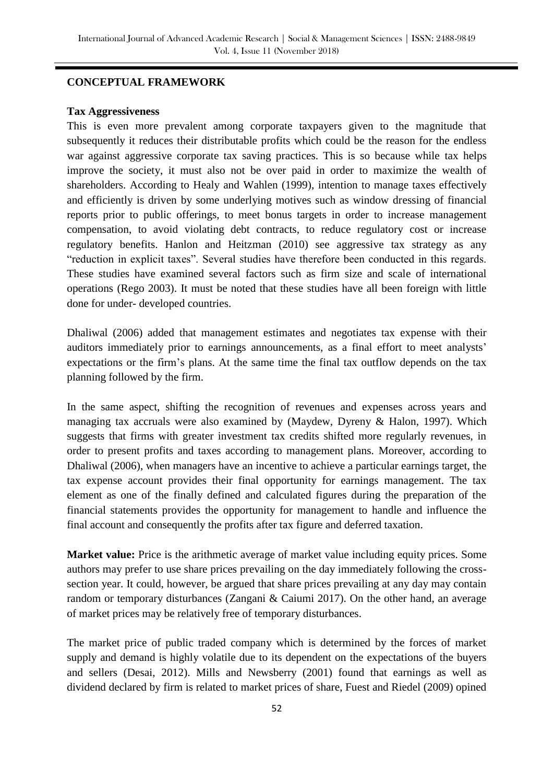## **CONCEPTUAL FRAMEWORK**

#### **Tax Aggressiveness**

This is even more prevalent among corporate taxpayers given to the magnitude that subsequently it reduces their distributable profits which could be the reason for the endless war against aggressive corporate tax saving practices. This is so because while tax helps improve the society, it must also not be over paid in order to maximize the wealth of shareholders. According to Healy and Wahlen (1999), intention to manage taxes effectively and efficiently is driven by some underlying motives such as window dressing of financial reports prior to public offerings, to meet bonus targets in order to increase management compensation, to avoid violating debt contracts, to reduce regulatory cost or increase regulatory benefits. Hanlon and Heitzman (2010) see aggressive tax strategy as any "reduction in explicit taxes". Several studies have therefore been conducted in this regards. These studies have examined several factors such as firm size and scale of international operations (Rego 2003). It must be noted that these studies have all been foreign with little done for under- developed countries.

Dhaliwal (2006) added that management estimates and negotiates tax expense with their auditors immediately prior to earnings announcements, as a final effort to meet analysts' expectations or the firm's plans. At the same time the final tax outflow depends on the tax planning followed by the firm.

In the same aspect, shifting the recognition of revenues and expenses across years and managing tax accruals were also examined by (Maydew, Dyreny & Halon, 1997). Which suggests that firms with greater investment tax credits shifted more regularly revenues, in order to present profits and taxes according to management plans. Moreover, according to Dhaliwal (2006), when managers have an incentive to achieve a particular earnings target, the tax expense account provides their final opportunity for earnings management. The tax element as one of the finally defined and calculated figures during the preparation of the financial statements provides the opportunity for management to handle and influence the final account and consequently the profits after tax figure and deferred taxation.

**Market value:** Price is the arithmetic average of market value including equity prices. Some authors may prefer to use share prices prevailing on the day immediately following the crosssection year. It could, however, be argued that share prices prevailing at any day may contain random or temporary disturbances (Zangani & Caiumi 2017). On the other hand, an average of market prices may be relatively free of temporary disturbances.

The market price of public traded company which is determined by the forces of market supply and demand is highly volatile due to its dependent on the expectations of the buyers and sellers (Desai, 2012). Mills and Newsberry (2001) found that earnings as well as dividend declared by firm is related to market prices of share, Fuest and Riedel (2009) opined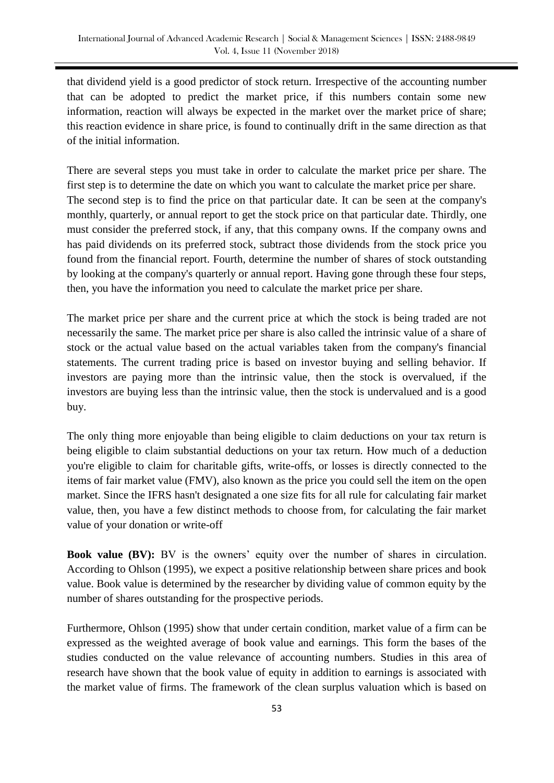that dividend yield is a good predictor of stock return. Irrespective of the accounting number that can be adopted to predict the market price, if this numbers contain some new information, reaction will always be expected in the market over the market price of share; this reaction evidence in share price, is found to continually drift in the same direction as that of the initial information.

There are several steps you must take in order to calculate the market price per share. The first step is to determine the date on which you want to calculate the market price per share. The second step is to find the price on that particular date. It can be seen at the company's monthly, quarterly, or annual report to get the stock price on that particular date. Thirdly, one must consider the preferred stock, if any, that this company owns. If the company owns and has paid dividends on its [preferred stock,](http://useconomy.about.com/od/glossary/g/preferred_stock.htm) subtract those dividends from the stock price you found from the financial report. Fourth, determine the number of shares of stock outstanding by looking at the company's quarterly or annual report. Having gone through these four steps, then, you have the information you need to calculate the market price per share.

The market price per share and the current price at which the stock is being traded are not necessarily the same. The market price per share is also called the intrinsic value of a share of stock or the actual value based on the actual variables taken from the company's financial statements. The current trading price is based on investor buying and selling behavior. If investors are paying more than the intrinsic value, then the stock is overvalued, if the investors are buying less than the intrinsic value, then the stock is undervalued and is a good buy.

The only thing more enjoyable than being eligible to claim deductions on your tax return is being eligible to claim substantial deductions on your tax return. How much of a deduction you're eligible to claim for charitable gifts, write-offs, or losses is directly connected to the items of fair market value (FMV), also known as the price you could sell the item on the open market. Since the IFRS hasn't designated a one size fits for all rule for calculating fair market value, then, you have a few distinct methods to choose from, for calculating the fair market value of your donation or write-off

**Book value (BV):** BV is the owners' equity over the number of shares in circulation. According to Ohlson (1995), we expect a positive relationship between share prices and book value. Book value is determined by the researcher by dividing value of common equity by the number of shares outstanding for the prospective periods.

Furthermore, Ohlson (1995) show that under certain condition, market value of a firm can be expressed as the weighted average of book value and earnings. This form the bases of the studies conducted on the value relevance of accounting numbers. Studies in this area of research have shown that the book value of equity in addition to earnings is associated with the market value of firms. The framework of the clean surplus valuation which is based on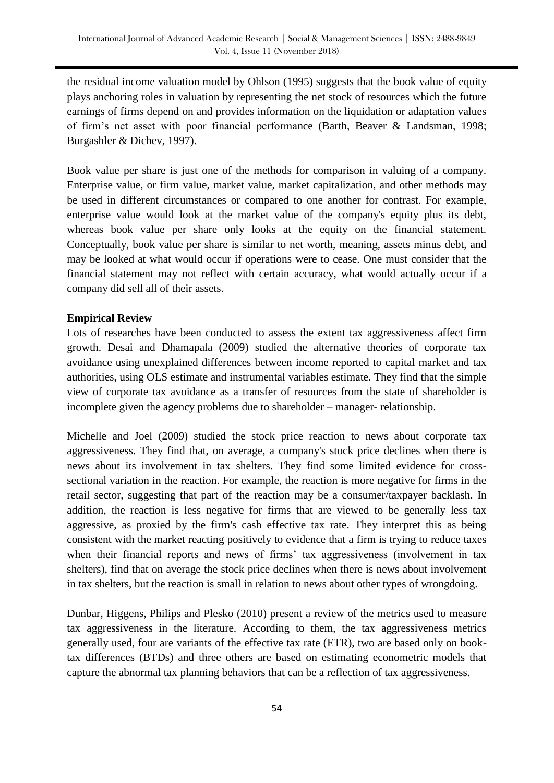the residual income valuation model by Ohlson (1995) suggests that the book value of equity plays anchoring roles in valuation by representing the net stock of resources which the future earnings of firms depend on and provides information on the liquidation or adaptation values of firm's net asset with poor financial performance (Barth, Beaver & Landsman, 1998; Burgashler & Dichev, 1997).

Book value per share is just one of the methods for comparison in valuing of a company. Enterprise value, or firm value, market value, market capitalization, and other methods may be used in different circumstances or compared to one another for contrast. For example, enterprise value would look at the market value of the company's equity plus its debt, whereas book value per share only looks at the equity on the financial statement. Conceptually, book value per share is similar to net worth, meaning, assets minus debt, and may be looked at what would occur if operations were to cease. One must consider that the financial statement may not reflect with certain accuracy, what would actually occur if a company did sell all of their assets.

## **Empirical Review**

Lots of researches have been conducted to assess the extent tax aggressiveness affect firm growth. Desai and Dhamapala (2009) studied the alternative theories of corporate tax avoidance using unexplained differences between income reported to capital market and tax authorities, using OLS estimate and instrumental variables estimate. They find that the simple view of corporate tax avoidance as a transfer of resources from the state of shareholder is incomplete given the agency problems due to shareholder – manager- relationship.

Michelle and Joel (2009) studied the stock price reaction to news about corporate tax aggressiveness. They find that, on average, a company's stock price declines when there is news about its involvement in tax shelters. They find some limited evidence for crosssectional variation in the reaction. For example, the reaction is more negative for firms in the retail sector, suggesting that part of the reaction may be a consumer/taxpayer backlash. In addition, the reaction is less negative for firms that are viewed to be generally less tax aggressive, as proxied by the firm's cash effective tax rate. They interpret this as being consistent with the market reacting positively to evidence that a firm is trying to reduce taxes when their financial reports and news of firms' tax aggressiveness (involvement in tax shelters), find that on average the stock price declines when there is news about involvement in tax shelters, but the reaction is small in relation to news about other types of wrongdoing.

Dunbar, Higgens, Philips and Plesko (2010) present a review of the metrics used to measure tax aggressiveness in the literature. According to them, the tax aggressiveness metrics generally used, four are variants of the effective tax rate (ETR), two are based only on booktax differences (BTDs) and three others are based on estimating econometric models that capture the abnormal tax planning behaviors that can be a reflection of tax aggressiveness.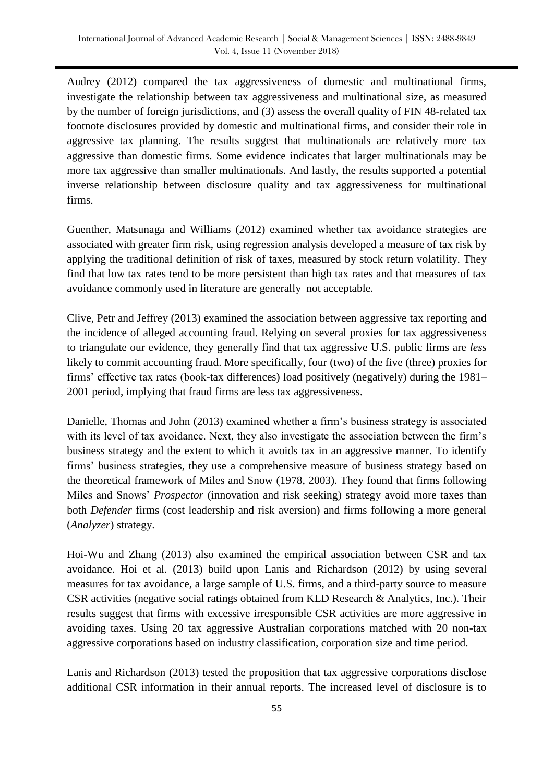Audrey (2012) compared the tax aggressiveness of domestic and multinational firms, investigate the relationship between tax aggressiveness and multinational size, as measured by the number of foreign jurisdictions, and (3) assess the overall quality of FIN 48-related tax footnote disclosures provided by domestic and multinational firms, and consider their role in aggressive tax planning. The results suggest that multinationals are relatively more tax aggressive than domestic firms. Some evidence indicates that larger multinationals may be more tax aggressive than smaller multinationals. And lastly, the results supported a potential inverse relationship between disclosure quality and tax aggressiveness for multinational firms.

Guenther, Matsunaga and Williams (2012) examined whether tax avoidance strategies are associated with greater firm risk, using regression analysis developed a measure of tax risk by applying the traditional definition of risk of taxes, measured by stock return volatility. They find that low tax rates tend to be more persistent than high tax rates and that measures of tax avoidance commonly used in literature are generally not acceptable.

Clive, Petr and Jeffrey (2013) examined the association between aggressive tax reporting and the incidence of alleged accounting fraud. Relying on several proxies for tax aggressiveness to triangulate our evidence, they generally find that tax aggressive U.S. public firms are *less*  likely to commit accounting fraud. More specifically, four (two) of the five (three) proxies for firms' effective tax rates (book-tax differences) load positively (negatively) during the 1981– 2001 period, implying that fraud firms are less tax aggressiveness.

Danielle, Thomas and John (2013) examined whether a firm's business strategy is associated with its level of tax avoidance. Next, they also investigate the association between the firm's business strategy and the extent to which it avoids tax in an aggressive manner. To identify firms' business strategies, they use a comprehensive measure of business strategy based on the theoretical framework of Miles and Snow (1978, 2003). They found that firms following Miles and Snows' *Prospector* (innovation and risk seeking) strategy avoid more taxes than both *Defender* firms (cost leadership and risk aversion) and firms following a more general (*Analyzer*) strategy.

Hoi-Wu and Zhang (2013) also examined the empirical association between CSR and tax avoidance. Hoi et al. (2013) build upon Lanis and Richardson (2012) by using several measures for tax avoidance, a large sample of U.S. firms, and a third-party source to measure CSR activities (negative social ratings obtained from KLD Research & Analytics, Inc.). Their results suggest that firms with excessive irresponsible CSR activities are more aggressive in avoiding taxes. Using 20 tax aggressive Australian corporations matched with 20 non-tax aggressive corporations based on industry classification, corporation size and time period.

Lanis and Richardson (2013) tested the proposition that tax aggressive corporations disclose additional CSR information in their annual reports. The increased level of disclosure is to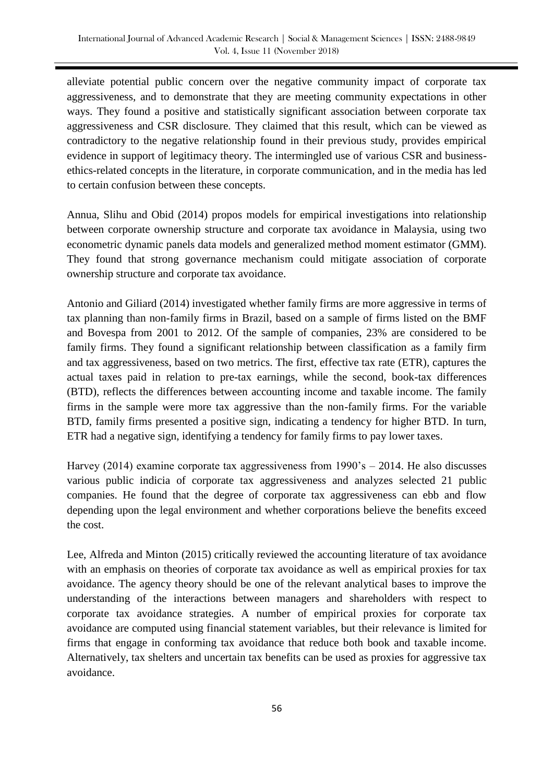alleviate potential public concern over the negative community impact of corporate tax aggressiveness, and to demonstrate that they are meeting community expectations in other ways. They found a positive and statistically significant association between corporate tax aggressiveness and CSR disclosure. They claimed that this result, which can be viewed as contradictory to the negative relationship found in their previous study, provides empirical evidence in support of legitimacy theory. The intermingled use of various CSR and businessethics-related concepts in the literature, in corporate communication, and in the media has led to certain confusion between these concepts.

Annua, Slihu and Obid (2014) propos models for empirical investigations into relationship between corporate ownership structure and corporate tax avoidance in Malaysia, using two econometric dynamic panels data models and generalized method moment estimator (GMM). They found that strong governance mechanism could mitigate association of corporate ownership structure and corporate tax avoidance.

Antonio and Giliard (2014) investigated whether family firms are more aggressive in terms of tax planning than non-family firms in Brazil, based on a sample of firms listed on the BMF and Bovespa from 2001 to 2012. Of the sample of companies, 23% are considered to be family firms. They found a significant relationship between classification as a family firm and tax aggressiveness, based on two metrics. The first, effective tax rate (ETR), captures the actual taxes paid in relation to pre-tax earnings, while the second, book-tax differences (BTD), reflects the differences between accounting income and taxable income. The family firms in the sample were more tax aggressive than the non-family firms. For the variable BTD, family firms presented a positive sign, indicating a tendency for higher BTD. In turn, ETR had a negative sign, identifying a tendency for family firms to pay lower taxes.

Harvey (2014) examine corporate tax aggressiveness from 1990's – 2014. He also discusses various public indicia of corporate tax aggressiveness and analyzes selected 21 public companies. He found that the degree of corporate tax aggressiveness can ebb and flow depending upon the legal environment and whether corporations believe the benefits exceed the cost.

Lee, Alfreda and Minton (2015) critically reviewed the accounting literature of tax avoidance with an emphasis on theories of corporate tax avoidance as well as empirical proxies for tax avoidance. The agency theory should be one of the relevant analytical bases to improve the understanding of the interactions between managers and shareholders with respect to corporate tax avoidance strategies. A number of empirical proxies for corporate tax avoidance are computed using financial statement variables, but their relevance is limited for firms that engage in conforming tax avoidance that reduce both book and taxable income. Alternatively, tax shelters and uncertain tax benefits can be used as proxies for aggressive tax avoidance.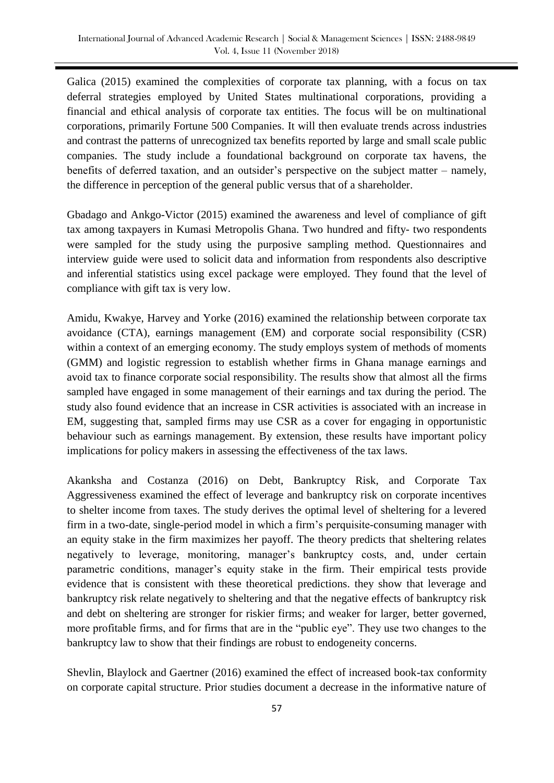Galica (2015) examined the complexities of corporate tax planning, with a focus on tax deferral strategies employed by United States multinational corporations, providing a financial and ethical analysis of corporate tax entities. The focus will be on multinational corporations, primarily Fortune 500 Companies. It will then evaluate trends across industries and contrast the patterns of unrecognized tax benefits reported by large and small scale public companies. The study include a foundational background on corporate tax havens, the benefits of deferred taxation, and an outsider's perspective on the subject matter – namely, the difference in perception of the general public versus that of a shareholder.

Gbadago and Ankgo-Victor (2015) examined the awareness and level of compliance of gift tax among taxpayers in Kumasi Metropolis Ghana. Two hundred and fifty- two respondents were sampled for the study using the purposive sampling method. Questionnaires and interview guide were used to solicit data and information from respondents also descriptive and inferential statistics using excel package were employed. They found that the level of compliance with gift tax is very low.

Amidu, Kwakye, Harvey and Yorke (2016) examined the relationship between corporate tax avoidance (CTA), earnings management (EM) and corporate social responsibility (CSR) within a context of an emerging economy. The study employs system of methods of moments (GMM) and logistic regression to establish whether firms in Ghana manage earnings and avoid tax to finance corporate social responsibility. The results show that almost all the firms sampled have engaged in some management of their earnings and tax during the period. The study also found evidence that an increase in CSR activities is associated with an increase in EM, suggesting that, sampled firms may use CSR as a cover for engaging in opportunistic behaviour such as earnings management. By extension, these results have important policy implications for policy makers in assessing the effectiveness of the tax laws.

Akanksha and Costanza (2016) on Debt, Bankruptcy Risk, and Corporate Tax Aggressiveness examined the effect of leverage and bankruptcy risk on corporate incentives to shelter income from taxes. The study derives the optimal level of sheltering for a levered firm in a two-date, single-period model in which a firm's perquisite-consuming manager with an equity stake in the firm maximizes her payoff. The theory predicts that sheltering relates negatively to leverage, monitoring, manager's bankruptcy costs, and, under certain parametric conditions, manager's equity stake in the firm. Their empirical tests provide evidence that is consistent with these theoretical predictions. they show that leverage and bankruptcy risk relate negatively to sheltering and that the negative effects of bankruptcy risk and debt on sheltering are stronger for riskier firms; and weaker for larger, better governed, more profitable firms, and for firms that are in the "public eye". They use two changes to the bankruptcy law to show that their findings are robust to endogeneity concerns.

Shevlin, Blaylock and Gaertner (2016) examined the effect of increased book-tax conformity on corporate capital structure. Prior studies document a decrease in the informative nature of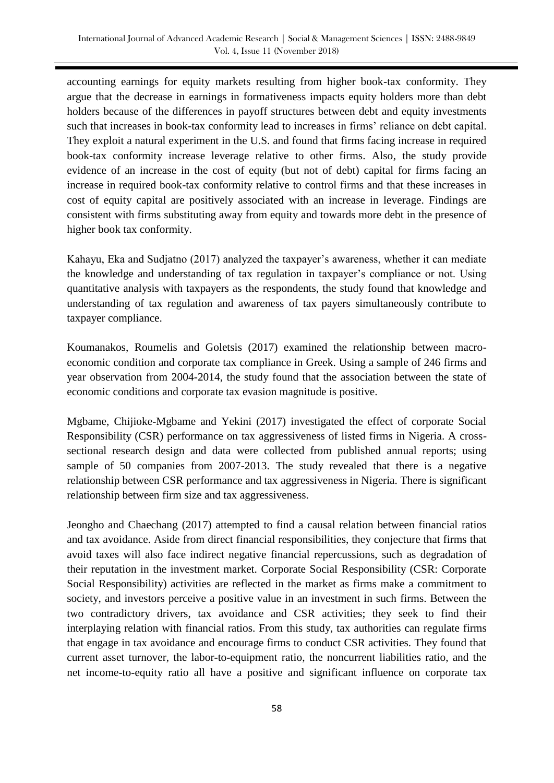accounting earnings for equity markets resulting from higher book-tax conformity. They argue that the decrease in earnings in formativeness impacts equity holders more than debt holders because of the differences in payoff structures between debt and equity investments such that increases in book-tax conformity lead to increases in firms' reliance on debt capital. They exploit a natural experiment in the U.S. and found that firms facing increase in required book-tax conformity increase leverage relative to other firms. Also, the study provide evidence of an increase in the cost of equity (but not of debt) capital for firms facing an increase in required book-tax conformity relative to control firms and that these increases in cost of equity capital are positively associated with an increase in leverage. Findings are consistent with firms substituting away from equity and towards more debt in the presence of higher book tax conformity.

Kahayu, Eka and Sudjatno (2017) analyzed the taxpayer's awareness, whether it can mediate the knowledge and understanding of tax regulation in taxpayer's compliance or not. Using quantitative analysis with taxpayers as the respondents, the study found that knowledge and understanding of tax regulation and awareness of tax payers simultaneously contribute to taxpayer compliance.

Koumanakos, Roumelis and Goletsis (2017) examined the relationship between macroeconomic condition and corporate tax compliance in Greek. Using a sample of 246 firms and year observation from 2004-2014, the study found that the association between the state of economic conditions and corporate tax evasion magnitude is positive.

Mgbame, Chijioke-Mgbame and Yekini (2017) investigated the effect of corporate Social Responsibility (CSR) performance on tax aggressiveness of listed firms in Nigeria. A crosssectional research design and data were collected from published annual reports; using sample of 50 companies from 2007-2013. The study revealed that there is a negative relationship between CSR performance and tax aggressiveness in Nigeria. There is significant relationship between firm size and tax aggressiveness.

Jeongho and Chaechang (2017) attempted to find a causal relation between financial ratios and tax avoidance. Aside from direct financial responsibilities, they conjecture that firms that avoid taxes will also face indirect negative financial repercussions, such as degradation of their reputation in the investment market. Corporate Social Responsibility (CSR: Corporate Social Responsibility) activities are reflected in the market as firms make a commitment to society, and investors perceive a positive value in an investment in such firms. Between the two contradictory drivers, tax avoidance and CSR activities; they seek to find their interplaying relation with financial ratios. From this study, tax authorities can regulate firms that engage in tax avoidance and encourage firms to conduct CSR activities. They found that current asset turnover, the labor-to-equipment ratio, the noncurrent liabilities ratio, and the net income-to-equity ratio all have a positive and significant influence on corporate tax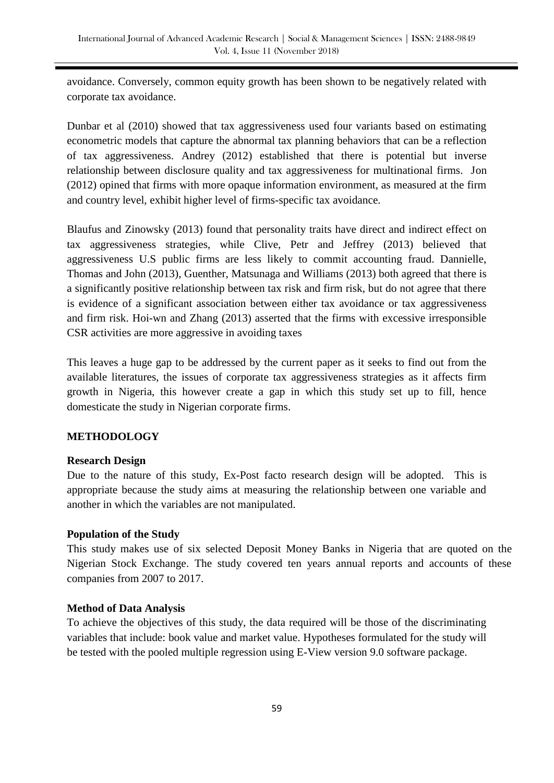avoidance. Conversely, common equity growth has been shown to be negatively related with corporate tax avoidance.

Dunbar et al (2010) showed that tax aggressiveness used four variants based on estimating econometric models that capture the abnormal tax planning behaviors that can be a reflection of tax aggressiveness. Andrey (2012) established that there is potential but inverse relationship between disclosure quality and tax aggressiveness for multinational firms. Jon (2012) opined that firms with more opaque information environment, as measured at the firm and country level, exhibit higher level of firms-specific tax avoidance.

Blaufus and Zinowsky (2013) found that personality traits have direct and indirect effect on tax aggressiveness strategies, while Clive, Petr and Jeffrey (2013) believed that aggressiveness U.S public firms are less likely to commit accounting fraud. Dannielle, Thomas and John (2013), Guenther, Matsunaga and Williams (2013) both agreed that there is a significantly positive relationship between tax risk and firm risk, but do not agree that there is evidence of a significant association between either tax avoidance or tax aggressiveness and firm risk. Hoi-wn and Zhang (2013) asserted that the firms with excessive irresponsible CSR activities are more aggressive in avoiding taxes

This leaves a huge gap to be addressed by the current paper as it seeks to find out from the available literatures, the issues of corporate tax aggressiveness strategies as it affects firm growth in Nigeria, this however create a gap in which this study set up to fill, hence domesticate the study in Nigerian corporate firms.

## **METHODOLOGY**

## **Research Design**

Due to the nature of this study, Ex-Post facto research design will be adopted. This is appropriate because the study aims at measuring the relationship between one variable and another in which the variables are not manipulated.

## **Population of the Study**

This study makes use of six selected Deposit Money Banks in Nigeria that are quoted on the Nigerian Stock Exchange. The study covered ten years annual reports and accounts of these companies from 2007 to 2017.

## **Method of Data Analysis**

To achieve the objectives of this study, the data required will be those of the discriminating variables that include: book value and market value. Hypotheses formulated for the study will be tested with the pooled multiple regression using E-View version 9.0 software package.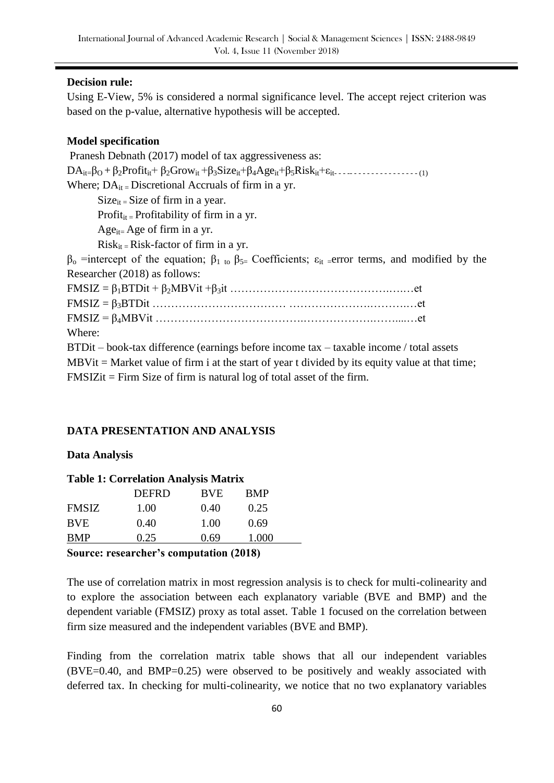## **Decision rule:**

Using E-View, 5% is considered a normal significance level. The accept reject criterion was based on the p-value, alternative hypothesis will be accepted.

## **Model specification**

Pranesh Debnath (2017) model of tax aggressiveness as: DAit=βO + β2Profitit+ β2Growit +β3Sizeit+β4Ageit+β5Riskit+εit- - - -- - - - - - - - - - - - - - - - (1) Where;  $DA_{it}$  = Discretional Accruals of firm in a yr.  $Size_{it}$  = Size of firm in a year. Profit<sub>it =</sub> Profitability of firm in a yr. Age<sub>it=</sub> Age of firm in a yr.  $Risk_{it} = Risk-factor$  of firm in a yr.  $β_0$  =intercept of the equation;  $β_1$  to  $β_5$ = Coefficients;  $ε_{it}$  =error terms, and modified by the Researcher (2018) as follows: FMSIZ = β1BTDit + β2MBVit +β3it …………………………………….….…et FMSIZ = β3BTDit ……………………………… ………………….……….…et FMSIZ = β4MBVit ………………………………….……………….……....…et Where: BTDit – book-tax difference (earnings before income tax – taxable income / total assets  $MBV$ it = Market value of firm i at the start of year t divided by its equity value at that time; FMSIZit = Firm Size of firm is natural log of total asset of the firm.

## **DATA PRESENTATION AND ANALYSIS**

## **Data Analysis**

| <b>Table 1: Correlation Analysis Matrix</b> |              |            |       |  |  |  |
|---------------------------------------------|--------------|------------|-------|--|--|--|
|                                             | <b>DEFRD</b> | <b>BVE</b> | BMP   |  |  |  |
| <b>FMSIZ</b>                                | 1.00         | 0.40       | 0.25  |  |  |  |
| <b>BVE</b>                                  | 0.40         | 1.00       | 0.69  |  |  |  |
| <b>BMP</b>                                  | 0.25         | 0.69       | 1.000 |  |  |  |
|                                             |              |            |       |  |  |  |

## **Source: researcher's computation (2018)**

The use of correlation matrix in most regression analysis is to check for multi-colinearity and to explore the association between each explanatory variable (BVE and BMP) and the dependent variable (FMSIZ) proxy as total asset. Table 1 focused on the correlation between firm size measured and the independent variables (BVE and BMP).

Finding from the correlation matrix table shows that all our independent variables (BVE=0.40, and BMP=0.25) were observed to be positively and weakly associated with deferred tax. In checking for multi-colinearity, we notice that no two explanatory variables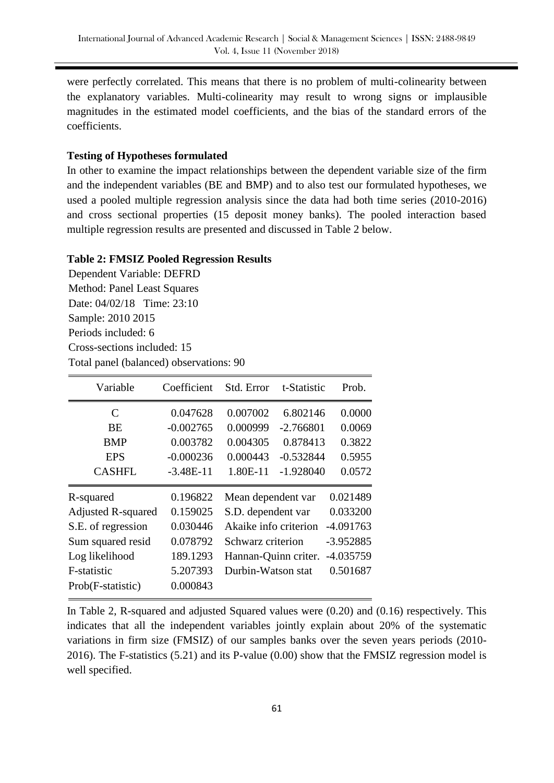were perfectly correlated. This means that there is no problem of multi-colinearity between the explanatory variables. Multi-colinearity may result to wrong signs or implausible magnitudes in the estimated model coefficients, and the bias of the standard errors of the coefficients.

#### **Testing of Hypotheses formulated**

In other to examine the impact relationships between the dependent variable size of the firm and the independent variables (BE and BMP) and to also test our formulated hypotheses, we used a pooled multiple regression analysis since the data had both time series (2010-2016) and cross sectional properties (15 deposit money banks). The pooled interaction based multiple regression results are presented and discussed in Table 2 below.

#### **Table 2: FMSIZ Pooled Regression Results**

Dependent Variable: DEFRD Method: Panel Least Squares Date: 04/02/18 Time: 23:10 Sample: 2010 2015 Periods included: 6 Cross-sections included: 15 Total panel (balanced) observations: 90

| Variable                  | Coefficient | Std. Error            | t-Statistic | Prob.       |
|---------------------------|-------------|-----------------------|-------------|-------------|
| C                         | 0.047628    | 0.007002              | 6.802146    | 0.0000      |
| <b>BE</b>                 | $-0.002765$ | 0.000999              | -2.766801   | 0.0069      |
| <b>BMP</b>                | 0.003782    | 0.004305              | 0.878413    | 0.3822      |
| <b>EPS</b>                | $-0.000236$ | 0.000443              | $-0.532844$ | 0.5955      |
| <b>CASHFL</b>             | $-3.48E-11$ | 1.80E-11              | $-1.928040$ | 0.0572      |
| R-squared                 | 0.196822    | Mean dependent var    |             | 0.021489    |
| <b>Adjusted R-squared</b> | 0.159025    | S.D. dependent var    |             | 0.033200    |
| S.E. of regression        | 0.030446    | Akaike info criterion |             | $-4.091763$ |
| Sum squared resid         | 0.078792    | Schwarz criterion     |             | $-3.952885$ |
| Log likelihood            | 189.1293    | Hannan-Quinn criter.  |             | $-4.035759$ |
| F-statistic               | 5.207393    | Durbin-Watson stat    |             | 0.501687    |
| Prob(F-statistic)         | 0.000843    |                       |             |             |

In Table 2, R-squared and adjusted Squared values were (0.20) and (0.16) respectively. This indicates that all the independent variables jointly explain about 20% of the systematic variations in firm size (FMSIZ) of our samples banks over the seven years periods (2010- 2016). The F-statistics (5.21) and its P-value (0.00) show that the FMSIZ regression model is well specified.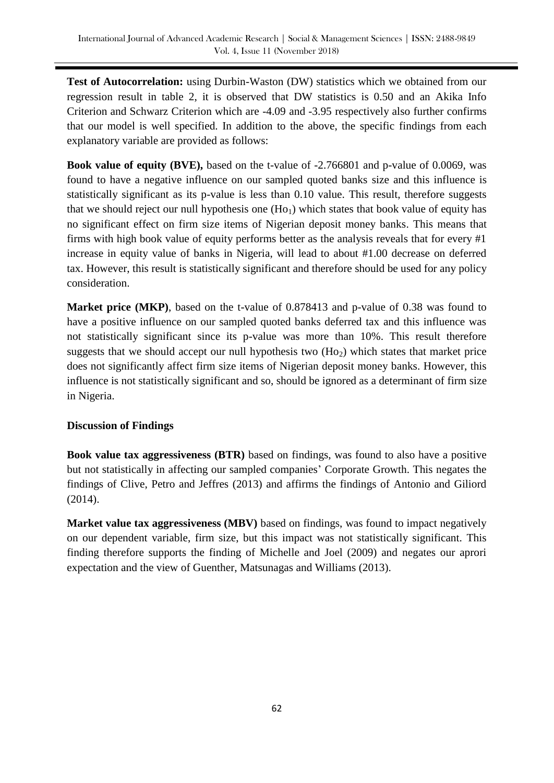**Test of Autocorrelation:** using Durbin-Waston (DW) statistics which we obtained from our regression result in table 2, it is observed that DW statistics is 0.50 and an Akika Info Criterion and Schwarz Criterion which are -4.09 and -3.95 respectively also further confirms that our model is well specified. In addition to the above, the specific findings from each explanatory variable are provided as follows:

**Book value of equity (BVE),** based on the t-value of -2.766801 and p-value of 0.0069, was found to have a negative influence on our sampled quoted banks size and this influence is statistically significant as its p-value is less than 0.10 value. This result, therefore suggests that we should reject our null hypothesis one  $(Ho<sub>1</sub>)$  which states that book value of equity has no significant effect on firm size items of Nigerian deposit money banks. This means that firms with high book value of equity performs better as the analysis reveals that for every #1 increase in equity value of banks in Nigeria, will lead to about #1.00 decrease on deferred tax. However, this result is statistically significant and therefore should be used for any policy consideration.

**Market price (MKP)**, based on the t-value of 0.878413 and p-value of 0.38 was found to have a positive influence on our sampled quoted banks deferred tax and this influence was not statistically significant since its p-value was more than 10%. This result therefore suggests that we should accept our null hypothesis two  $(H<sub>o2</sub>)$  which states that market price does not significantly affect firm size items of Nigerian deposit money banks. However, this influence is not statistically significant and so, should be ignored as a determinant of firm size in Nigeria.

## **Discussion of Findings**

**Book value tax aggressiveness (BTR)** based on findings, was found to also have a positive but not statistically in affecting our sampled companies' Corporate Growth. This negates the findings of Clive, Petro and Jeffres (2013) and affirms the findings of Antonio and Giliord (2014).

**Market value tax aggressiveness (MBV)** based on findings, was found to impact negatively on our dependent variable, firm size, but this impact was not statistically significant. This finding therefore supports the finding of Michelle and Joel (2009) and negates our aprori expectation and the view of Guenther, Matsunagas and Williams (2013).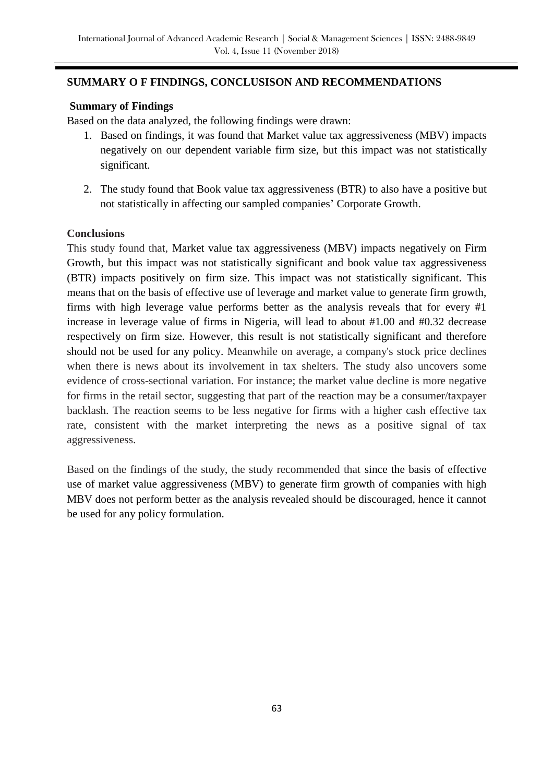## **SUMMARY O F FINDINGS, CONCLUSISON AND RECOMMENDATIONS**

## **Summary of Findings**

Based on the data analyzed, the following findings were drawn:

- 1. Based on findings, it was found that Market value tax aggressiveness (MBV) impacts negatively on our dependent variable firm size, but this impact was not statistically significant.
- 2. The study found that Book value tax aggressiveness (BTR) to also have a positive but not statistically in affecting our sampled companies' Corporate Growth.

## **Conclusions**

This study found that, Market value tax aggressiveness (MBV) impacts negatively on Firm Growth, but this impact was not statistically significant and book value tax aggressiveness (BTR) impacts positively on firm size. This impact was not statistically significant. This means that on the basis of effective use of leverage and market value to generate firm growth, firms with high leverage value performs better as the analysis reveals that for every #1 increase in leverage value of firms in Nigeria, will lead to about #1.00 and #0.32 decrease respectively on firm size. However, this result is not statistically significant and therefore should not be used for any policy. Meanwhile on average, a company's stock price declines when there is news about its involvement in tax shelters. The study also uncovers some evidence of cross-sectional variation. For instance; the market value decline is more negative for firms in the retail sector, suggesting that part of the reaction may be a consumer/taxpayer backlash. The reaction seems to be less negative for firms with a higher cash effective tax rate, consistent with the market interpreting the news as a positive signal of tax aggressiveness.

Based on the findings of the study, the study recommended that since the basis of effective use of market value aggressiveness (MBV) to generate firm growth of companies with high MBV does not perform better as the analysis revealed should be discouraged, hence it cannot be used for any policy formulation.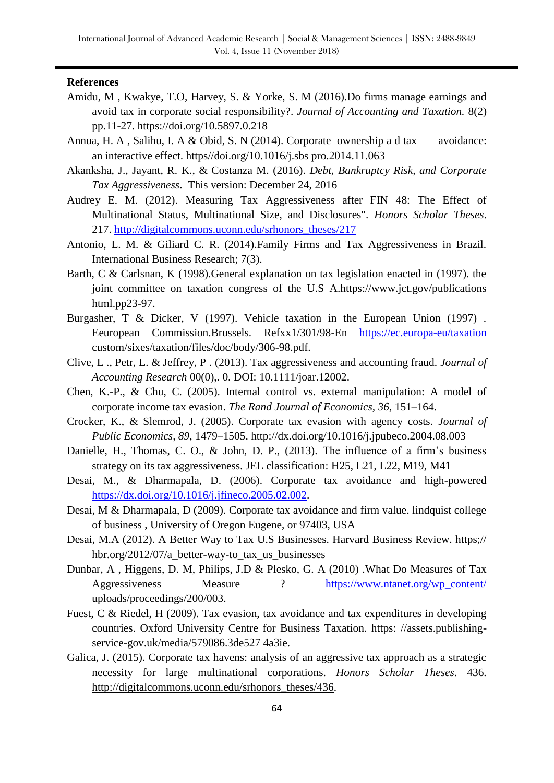#### **References**

- Amidu, M , Kwakye, T.O, Harvey, S. & Yorke, S. M (2016).Do firms manage earnings and avoid tax in corporate social responsibility?. *Journal of Accounting and Taxation.* 8(2) pp.11-27. https://doi.org/10.5897.0.218
- Annua, H. A, Salihu, I. A & Obid, S. N (2014). Corporate ownership a d tax avoidance: an interactive effect. https//doi.org/10.1016/j.sbs pro.2014.11.063
- Akanksha, J., Jayant, R. K., & Costanza M. (2016). *Debt, Bankruptcy Risk, and Corporate Tax Aggressiveness*. This version: December 24, 2016
- Audrey E. M. (2012). Measuring Tax Aggressiveness after FIN 48: The Effect of Multinational Status, Multinational Size, and Disclosures". *Honors Scholar Theses*. 217. [http://digitalcommons.uconn.edu/srhonors\\_theses/217](http://digitalcommons.uconn.edu/srhonors_theses/217)
- Antonio, L. M. & Giliard C. R. (2014).Family Firms and Tax Aggressiveness in Brazil. International Business Research; 7(3).
- Barth, C & Carlsnan, K (1998).General explanation on tax legislation enacted in (1997). the joint committee on taxation congress of the U.S A.https://www.jct.gov/publications html.pp23-97.
- Burgasher, T & Dicker, V (1997). Vehicle taxation in the European Union (1997) . Eeuropean Commission.Brussels. Refxx1/301/98-En <https://ec.europa-eu/taxation> custom/sixes/taxation/files/doc/body/306-98.pdf.
- Clive, L ., Petr, L. & Jeffrey, P . (2013). Tax aggressiveness and accounting fraud. *Journal of Accounting Research* 00(0),. 0. DOI: 10.1111/joar.12002.
- Chen, K.-P., & Chu, C. (2005). Internal control vs. external manipulation: A model of corporate income tax evasion. *The Rand Journal of Economics, 36*, 151–164.
- Crocker, K., & Slemrod, J. (2005). Corporate tax evasion with agency costs. *Journal of Public Economics, 89*, 1479–1505. http://dx.doi.org/10.1016/j.jpubeco.2004.08.003
- Danielle, H., Thomas, C. O., & John, D. P., (2013). The influence of a firm's business strategy on its tax aggressiveness. JEL classification: H25, L21, L22, M19, M41
- Desai, M., & Dharmapala, D. (2006). Corporate tax avoidance and high-powered [https://dx.doi.org/10.1016/j.jfineco.2005.02.002.](https://dx.doi.org/10.1016/j.jfineco.2005.02.002)
- Desai, M & Dharmapala, D (2009). Corporate tax avoidance and firm value. lindquist college of business , University of Oregon Eugene, or 97403, USA
- Desai, M.A (2012). A Better Way to Tax U.S Businesses. Harvard Business Review. https;// hbr.org/2012/07/a\_better-way-to\_tax\_us\_businesses
- Dunbar, A , Higgens, D. M, Philips, J.D & Plesko, G. A (2010) .What Do Measures of Tax Aggressiveness Measure ? [https://www.ntanet.org/wp\\_content/](https://www.ntanet.org/wp_content/) uploads/proceedings/200/003.
- Fuest, C & Riedel, H (2009). Tax evasion, tax avoidance and tax expenditures in developing countries. Oxford University Centre for Business Taxation. https: //assets.publishingservice-gov.uk/media/579086.3de527 4a3ie.
- Galica, J. (2015). Corporate tax havens: analysis of an aggressive tax approach as a strategic necessity for large multinational corporations. *Honors Scholar Theses*. 436. [http://digitalcommons.uconn.edu/srhonors\\_theses/436.](http://digitalcommons.uconn.edu/srhonors_theses/436)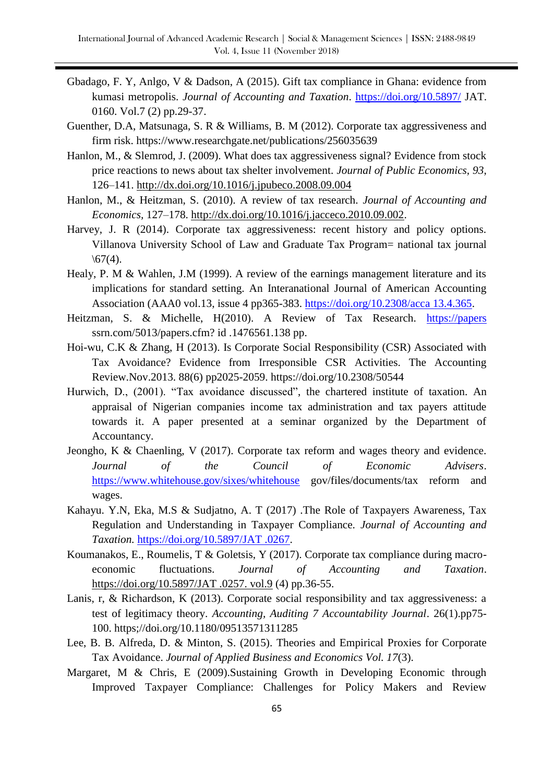- Gbadago, F. Y, Anlgo, V & Dadson, A (2015). Gift tax compliance in Ghana: evidence from kumasi metropolis. *Journal of Accounting and Taxation*.<https://doi.org/10.5897/> JAT. 0160. Vol.7 (2) pp.29-37.
- Guenther, D.A, Matsunaga, S. R & Williams, B. M (2012). Corporate tax aggressiveness and firm risk. https://www.researchgate.net/publications/256035639
- Hanlon, M., & Slemrod, J. (2009). What does tax aggressiveness signal? Evidence from stock price reactions to news about tax shelter involvement. *Journal of Public Economics, 93*, 126–141.<http://dx.doi.org/10.1016/j.jpubeco.2008.09.004>
- Hanlon, M., & Heitzman, S. (2010). A review of tax research. *Journal of Accounting and Economics,* 127–178. [http://dx.doi.org/10.1016/j.jacceco.2010.09.002.](http://dx.doi.org/10.1016/j.jacceco.2010.09.002)
- Harvey, J. R (2014). Corporate tax aggressiveness: recent history and policy options. Villanova University School of Law and Graduate Tax Program= national tax journal  $\setminus 67(4)$ .
- Healy, P. M & Wahlen, J.M (1999). A review of the earnings management literature and its implications for standard setting. An Interanational Journal of American Accounting Association (AAA0 vol.13, issue 4 pp365-383. [https://doi.org/10.2308/acca 13.4.365.](https://doi.org/10.2308/acca%2013.4.365)
- Heitzman, S. & Michelle, H(2010). A Review of Tax Research. [https://papers](https://papers/) ssrn.com/5013/papers.cfm? id .1476561.138 pp.
- Hoi-wu, C.K & Zhang, H (2013). Is Corporate Social Responsibility (CSR) Associated with Tax Avoidance? Evidence from Irresponsible CSR Activities. The Accounting Review.Nov.2013. 88(6) pp2025-2059. https://doi.org/10.2308/50544
- Hurwich, D., (2001). "Tax avoidance discussed", the chartered institute of taxation. An appraisal of Nigerian companies income tax administration and tax payers attitude towards it. A paper presented at a seminar organized by the Department of Accountancy.
- Jeongho, K & Chaenling, V (2017). Corporate tax reform and wages theory and evidence. *Journal of the Council of Economic Advisers*. <https://www.whitehouse.gov/sixes/whitehouse> gov/files/documents/tax reform and wages.
- Kahayu. Y.N, Eka, M.S & Sudjatno, A. T (2017) .The Role of Taxpayers Awareness, Tax Regulation and Understanding in Taxpayer Compliance. *Journal of Accounting and Taxation.* [https://doi.org/10.5897/JAT .0267.](https://doi.org/10.5897/JAT%20.0267)
- Koumanakos, E., Roumelis, T & Goletsis, Y (2017). Corporate tax compliance during macroeconomic fluctuations. *Journal of Accounting and Taxation*. [https://doi.org/10.5897/JAT .0257. vol.9](https://doi.org/10.5897/JAT%20.0257.%20vol.9) (4) pp.36-55.
- Lanis, r, & Richardson, K (2013). Corporate social responsibility and tax aggressiveness: a test of legitimacy theory. *Accounting, Auditing 7 Accountability Journal*. 26(1).pp75- 100. https;//doi.org/10.1180/09513571311285
- Lee, B. B. Alfreda, D. & Minton, S. (2015). Theories and Empirical Proxies for Corporate Tax Avoidance. *Journal of Applied Business and Economics Vol. 17*(3).
- Margaret, M & Chris, E (2009).Sustaining Growth in Developing Economic through Improved Taxpayer Compliance: Challenges for Policy Makers and Review